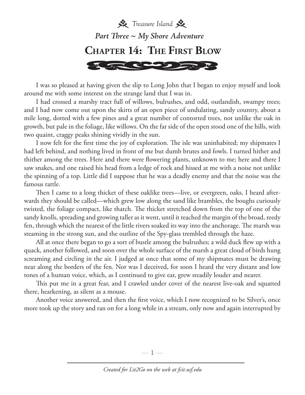

I was so pleased at having given the slip to Long John that I began to enjoy myself and look around me with some interest on the strange land that I was in.

I had crossed a marshy tract full of willows, bulrushes, and odd, outlandish, swampy trees; and I had now come out upon the skirts of an open piece of undulating, sandy country, about a mile long, dotted with a few pines and a great number of contorted trees, not unlike the oak in growth, but pale in the foliage, like willows. On the far side of the open stood one of the hills, with two quaint, craggy peaks shining vividly in the sun.

I now felt for the first time the joy of exploration. The isle was uninhabited; my shipmates I had left behind, and nothing lived in front of me but dumb brutes and fowls. I turned hither and thither among the trees. Here and there were flowering plants, unknown to me; here and there I saw snakes, and one raised his head from a ledge of rock and hissed at me with a noise not unlike the spinning of a top. Little did I suppose that he was a deadly enemy and that the noise was the famous rattle.

Then I came to a long thicket of these oaklike trees—live, or evergreen, oaks, I heard afterwards they should be called—which grew low along the sand like brambles, the boughs curiously twisted, the foliage compact, like thatch. The thicket stretched down from the top of one of the sandy knolls, spreading and growing taller as it went, until it reached the margin of the broad, reedy fen, through which the nearest of the little rivers soaked its way into the anchorage. The marsh was steaming in the strong sun, and the outline of the Spy-glass trembled through the haze.

All at once there began to go a sort of bustle among the bulrushes; a wild duck flew up with a quack, another followed, and soon over the whole surface of the marsh a great cloud of birds hung screaming and circling in the air. I judged at once that some of my shipmates must be drawing near along the borders of the fen. Nor was I deceived, for soon I heard the very distant and low tones of a human voice, which, as I continued to give ear, grew steadily louder and nearer.

This put me in a great fear, and I crawled under cover of the nearest live-oak and squatted there, hearkening, as silent as a mouse.

Another voice answered, and then the first voice, which I now recognized to be Silver's, once more took up the story and ran on for a long while in a stream, only now and again interrupted by

—  $\mathbb{I}$  —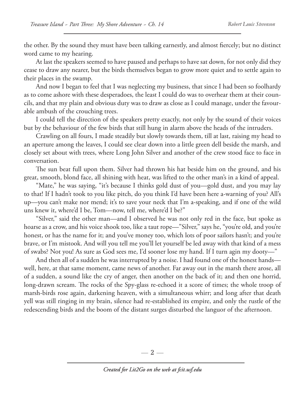the other. By the sound they must have been talking earnestly, and almost fiercely; but no distinct word came to my hearing.

At last the speakers seemed to have paused and perhaps to have sat down, for not only did they cease to draw any nearer, but the birds themselves began to grow more quiet and to settle again to their places in the swamp.

And now I began to feel that I was neglecting my business, that since I had been so foolhardy as to come ashore with these desperadoes, the least I could do was to overhear them at their councils, and that my plain and obvious duty was to draw as close as I could manage, under the favourable ambush of the crouching trees.

I could tell the direction of the speakers pretty exactly, not only by the sound of their voices but by the behaviour of the few birds that still hung in alarm above the heads of the intruders.

Crawling on all fours, I made steadily but slowly towards them, till at last, raising my head to an aperture among the leaves, I could see clear down into a little green dell beside the marsh, and closely set about with trees, where Long John Silver and another of the crew stood face to face in conversation.

The sun beat full upon them. Silver had thrown his hat beside him on the ground, and his great, smooth, blond face, all shining with heat, was lifted to the other man's in a kind of appeal.

"Mate," he was saying, "it's because I thinks gold dust of you—gold dust, and you may lay to that! If I hadn't took to you like pitch, do you think I'd have been here a-warning of you? All's up—you can't make nor mend; it's to save your neck that I'm a-speaking, and if one of the wild uns knew it, where'd I be, Tom—now, tell me, where'd I be?"

"Silver," said the other man—and I observed he was not only red in the face, but spoke as hoarse as a crow, and his voice shook too, like a taut rope—"Silver," says he, "you're old, and you're honest, or has the name for it; and you've money too, which lots of poor sailors hasn't; and you're brave, or I'm mistook. And will you tell me you'll let yourself be led away with that kind of a mess of swabs? Not you! As sure as God sees me, I'd sooner lose my hand. If I turn agin my dooty—"

And then all of a sudden he was interrupted by a noise. I had found one of the honest hands well, here, at that same moment, came news of another. Far away out in the marsh there arose, all of a sudden, a sound like the cry of anger, then another on the back of it; and then one horrid, long-drawn scream. The rocks of the Spy-glass re-echoed it a score of times; the whole troop of marsh-birds rose again, darkening heaven, with a simultaneous whirr; and long after that death yell was still ringing in my brain, silence had re-established its empire, and only the rustle of the redescending birds and the boom of the distant surges disturbed the languor of the afternoon.

— 2 —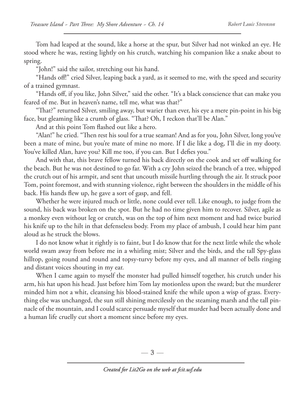Tom had leaped at the sound, like a horse at the spur, but Silver had not winked an eye. He stood where he was, resting lightly on his crutch, watching his companion like a snake about to spring.

"John!" said the sailor, stretching out his hand.

"Hands off!" cried Silver, leaping back a yard, as it seemed to me, with the speed and security of a trained gymnast.

"Hands off, if you like, John Silver," said the other. "It's a black conscience that can make you feared of me. But in heaven's name, tell me, what was that?"

"That?" returned Silver, smiling away, but warier than ever, his eye a mere pin-point in his big face, but gleaming like a crumb of glass. "That? Oh, I reckon that'll be Alan."

And at this point Tom flashed out like a hero.

"Alan!" he cried. "Then rest his soul for a true seaman! And as for you, John Silver, long you've been a mate of mine, but you're mate of mine no more. If I die like a dog, I'll die in my dooty. You've killed Alan, have you? Kill me too, if you can. But I defies you."

And with that, this brave fellow turned his back directly on the cook and set off walking for the beach. But he was not destined to go far. With a cry John seized the branch of a tree, whipped the crutch out of his armpit, and sent that uncouth missile hurtling through the air. It struck poor Tom, point foremost, and with stunning violence, right between the shoulders in the middle of his back. His hands flew up, he gave a sort of gasp, and fell.

Whether he were injured much or little, none could ever tell. Like enough, to judge from the sound, his back was broken on the spot. But he had no time given him to recover. Silver, agile as a monkey even without leg or crutch, was on the top of him next moment and had twice buried his knife up to the hilt in that defenseless body. From my place of ambush, I could hear him pant aloud as he struck the blows.

I do not know what it rightly is to faint, but I do know that for the next little while the whole world swam away from before me in a whirling mist; Silver and the birds, and the tall Spy-glass hilltop, going round and round and topsy-turvy before my eyes, and all manner of bells ringing and distant voices shouting in my ear.

When I came again to myself the monster had pulled himself together, his crutch under his arm, his hat upon his head. Just before him Tom lay motionless upon the sward; but the murderer minded him not a whit, cleansing his blood-stained knife the while upon a wisp of grass. Everything else was unchanged, the sun still shining mercilessly on the steaming marsh and the tall pinnacle of the mountain, and I could scarce persuade myself that murder had been actually done and a human life cruelly cut short a moment since before my eyes.

 $-3-$